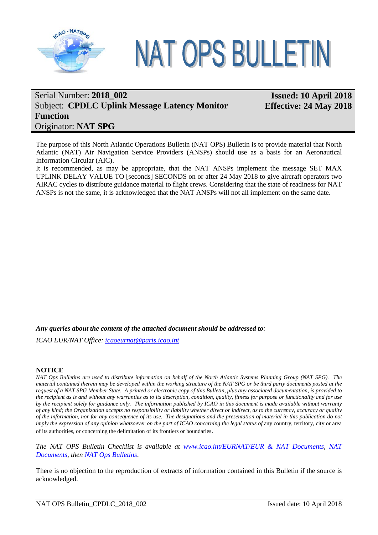

# **NAT OPS BULLETIN**

# Serial Number: **2018\_002** Subject: **CPDLC Uplink Message Latency Monitor Function** Originator: **NAT SPG**

**Issued: 10 April 2018 Effective: 24 May 2018**

The purpose of this North Atlantic Operations Bulletin (NAT OPS) Bulletin is to provide material that North Atlantic (NAT) Air Navigation Service Providers (ANSPs) should use as a basis for an Aeronautical Information Circular (AIC).

It is recommended, as may be appropriate, that the NAT ANSPs implement the message SET MAX UPLINK DELAY VALUE TO [seconds] SECONDS on or after 24 May 2018 to give aircraft operators two AIRAC cycles to distribute guidance material to flight crews. Considering that the state of readiness for NAT ANSPs is not the same, it is acknowledged that the NAT ANSPs will not all implement on the same date.

*Any queries about the content of the attached document should be addressed to:*

*ICAO EUR/NAT Office: [icaoeurnat@paris.icao.int](mailto:icaoeurnat@paris.icao.int)*

#### **NOTICE**

*NAT Ops Bulletins are used to distribute information on behalf of the North Atlantic Systems Planning Group (NAT SPG). The material contained therein may be developed within the working structure of the NAT SPG or be third party documents posted at the request of a NAT SPG Member State. A printed or electronic copy of this Bulletin, plus any associated documentation, is provided to the recipient as is and without any warranties as to its description, condition, quality, fitness for purpose or functionality and for use by the recipient solely for guidance only. The information published by ICAO in this document is made available without warranty of any kind; the Organization accepts no responsibility or liability whether direct or indirect, as to the currency, accuracy or quality of the information, nor for any consequence of its use. The designations and the presentation of material in this publication do not imply the expression of any opinion whatsoever on the part of ICAO concerning the legal status of any country, territory, city or area* of its authorities, or concerning the delimitation of its frontiers or boundaries.

*The NAT OPS Bulletin Checklist is available at [www.icao.int/EURNAT](http://www.icao.int/EURNAT/)*/*[EUR & NAT Documents,](http://www.icao.int/EURNAT/) [NAT](http://www.icao.int/EURNAT/Pages/EUR-and-NAT-Document.aspx?RootFolder=%2FEURNAT%2FEUR%20and%20NAT%20Documents%2FNAT%20Documents&FolderCTID=0x012000DAF95319EADD9946B510C5D7B595637D00AA5EB47B299B9A4BAD1968B24E18655C&View=%7b2666E7DD-5F4E-4E64-B16A-CF142A1E5BC9%7d)  [Documents,](http://www.icao.int/EURNAT/Pages/EUR-and-NAT-Document.aspx?RootFolder=%2FEURNAT%2FEUR%20and%20NAT%20Documents%2FNAT%20Documents&FolderCTID=0x012000DAF95319EADD9946B510C5D7B595637D00AA5EB47B299B9A4BAD1968B24E18655C&View=%7b2666E7DD-5F4E-4E64-B16A-CF142A1E5BC9%7d) then [NAT Ops Bulletins](http://www.icao.int/EURNAT/Pages/EUR-and-NAT-Document.aspx?RootFolder=%2FEURNAT%2FEUR%20and%20NAT%20Documents%2FNAT%20Documents%2FNAT%20OPS%20Bulletins&FolderCTID=0x012000DAF95319EADD9946B510C5D7B595637D00AA5EB47B299B9A4BAD1968B24E18655C&View=%7b2666E7DD-5F4E-4E64-B16A-CF142A1E5BC9%7d)*.

There is no objection to the reproduction of extracts of information contained in this Bulletin if the source is acknowledged.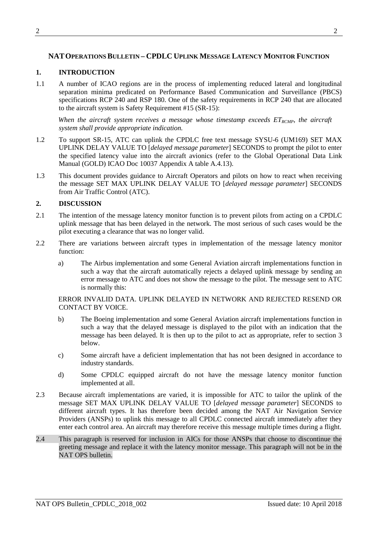## **NATOPERATIONSBULLETIN – CPDLC UPLINK MESSAGE LATENCY MONITOR FUNCTION**

## **1. INTRODUCTION**

1.1 A number of ICAO regions are in the process of implementing reduced lateral and longitudinal separation minima predicated on Performance Based Communication and Surveillance (PBCS) specifications RCP 240 and RSP 180. One of the safety requirements in RCP 240 that are allocated to the aircraft system is Safety Requirement #15 (SR-15):

When the aircraft system receives a message whose timestamp exceeds  $ET_{RCMP}$ , the aircraft *system shall provide appropriate indication.*

- 1.2 To support SR-15, ATC can uplink the CPDLC free text message SYSU-6 (UM169) SET MAX UPLINK DELAY VALUE TO [*delayed message parameter*] SECONDS to prompt the pilot to enter the specified latency value into the aircraft avionics (refer to the Global Operational Data Link Manual (GOLD) ICAO Doc 10037 Appendix A table A.4.13).
- 1.3 This document provides guidance to Aircraft Operators and pilots on how to react when receiving the message SET MAX UPLINK DELAY VALUE TO [*delayed message parameter*] SECONDS from Air Traffic Control (ATC).

## **2. DISCUSSION**

- 2.1 The intention of the message latency monitor function is to prevent pilots from acting on a CPDLC uplink message that has been delayed in the network. The most serious of such cases would be the pilot executing a clearance that was no longer valid.
- 2.2 There are variations between aircraft types in implementation of the message latency monitor function:
	- a) The Airbus implementation and some General Aviation aircraft implementations function in such a way that the aircraft automatically rejects a delayed uplink message by sending an error message to ATC and does not show the message to the pilot. The message sent to ATC is normally this:

#### ERROR INVALID DATA. UPLINK DELAYED IN NETWORK AND REJECTED RESEND OR CONTACT BY VOICE.

- b) The Boeing implementation and some General Aviation aircraft implementations function in such a way that the delayed message is displayed to the pilot with an indication that the message has been delayed. It is then up to the pilot to act as appropriate, refer to section 3 below.
- c) Some aircraft have a deficient implementation that has not been designed in accordance to industry standards.
- d) Some CPDLC equipped aircraft do not have the message latency monitor function implemented at all.
- 2.3 Because aircraft implementations are varied, it is impossible for ATC to tailor the uplink of the message SET MAX UPLINK DELAY VALUE TO [*delayed message parameter*] SECONDS to different aircraft types. It has therefore been decided among the NAT Air Navigation Service Providers (ANSPs) to uplink this message to all CPDLC connected aircraft immediately after they enter each control area. An aircraft may therefore receive this message multiple times during a flight.
- 2.4 This paragraph is reserved for inclusion in AICs for those ANSPs that choose to discontinue the greeting message and replace it with the latency monitor message. This paragraph will not be in the NAT OPS bulletin.